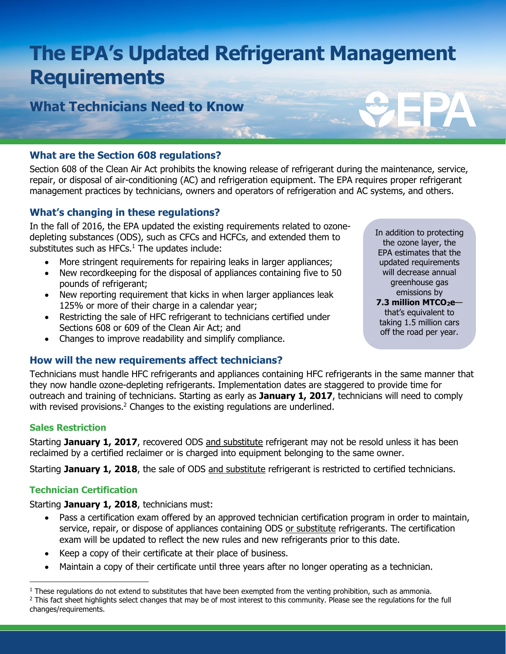# **The EPA's Updated Refrigerant Management Requirements**

**What Technicians Need to Know** 

# **What are the Section 608 regulations?**

Section 608 of the Clean Air Act prohibits the knowing release of refrigerant during the maintenance, service, repair, or disposal of air-conditioning (AC) and refrigeration equipment. The EPA requires proper refrigerant management practices by technicians, owners and operators of refrigeration and AC systems, and others.

# **What's changing in these regulations?**

In the fall of 2016, the EPA updated the existing requirements related to ozonedepleting substances (ODS), such as CFCs and HCFCs, and extended them to substitutes such as HFCs. $<sup>1</sup>$  The updates include:</sup>

- More stringent requirements for repairing leaks in larger appliances;
- New recordkeeping for the disposal of appliances containing five to 50 pounds of refrigerant;
- New reporting requirement that kicks in when larger appliances leak 125% or more of their charge in a calendar year;
- Restricting the sale of HFC refrigerant to technicians certified under Sections 608 or 609 of the Clean Air Act; and
- Changes to improve readability and simplify compliance.

## **How will the new requirements affect technicians?**

Technicians must handle HFC refrigerants and appliances containing HFC refrigerants in the same manner that they now handle ozone-depleting refrigerants. Implementation dates are staggered to provide time for outreach and training of technicians. Starting as early as **January 1, 2017**, technicians will need to comply with revised provisions.<sup>2</sup> Changes to the existing regulations are underlined.

#### **Sales Restriction**

Starting **January 1, 2017**, recovered ODS and substitute refrigerant may not be resold unless it has been reclaimed by a certified reclaimer or is charged into equipment belonging to the same owner.

Starting **January 1, 2018**, the sale of ODS and substitute refrigerant is restricted to certified technicians.

## **Technician Certification**

Starting **January 1, 2018**, technicians must:

- Pass a certification exam offered by an approved technician certification program in order to maintain, service, repair, or dispose of appliances containing ODS or substitute refrigerants. The certification exam will be updated to reflect the new rules and new refrigerants prior to this date.
- Keep a copy of their certificate at their place of business.
- Maintain a copy of their certificate until three years after no longer operating as a technician.

In addition to protecting the ozone layer, the EPA estimates that the updated requirements will decrease annual greenhouse gas emissions by **7.3 million MTCO2e** that's equivalent to taking 1.5 million cars off the road per year.

<sup>&</sup>lt;sup>1</sup> These regulations do not extend to substitutes that have been exempted from the venting prohibition, such as ammonia. <sup>2</sup> This fact sheet highlights select changes that may be of most interest to this community. Please see the regulations for the full changes/requirements.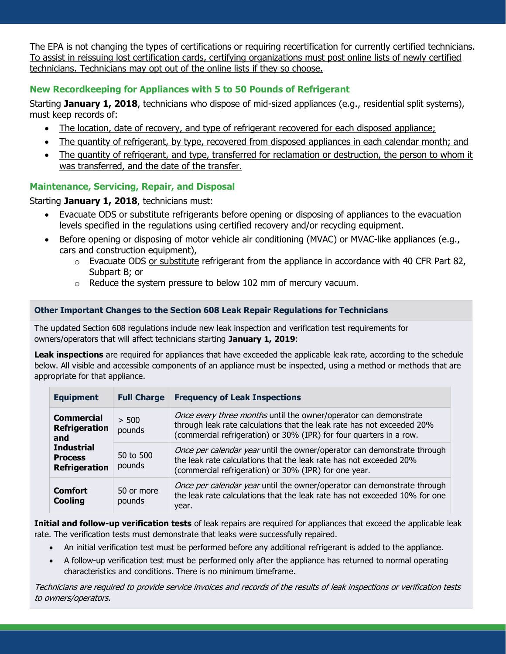The EPA is not changing the types of certifications or requiring recertification for currently certified technicians. To assist in reissuing lost certification cards, certifying organizations must post online lists of newly certified technicians. Technicians may opt out of the online lists if they so choose.

# **New Recordkeeping for Appliances with 5 to 50 Pounds of Refrigerant**

Starting **January 1, 2018**, technicians who dispose of mid-sized appliances (e.g., residential split systems), must keep records of:

- The location, date of recovery, and type of refrigerant recovered for each disposed appliance;
- The quantity of refrigerant, by type, recovered from disposed appliances in each calendar month; and
- The quantity of refrigerant, and type, transferred for reclamation or destruction, the person to whom it was transferred, and the date of the transfer.

### **Maintenance, Servicing, Repair, and Disposal**

#### Starting **January 1, 2018**, technicians must:

- Evacuate ODS or substitute refrigerants before opening or disposing of appliances to the evacuation levels specified in the regulations using certified recovery and/or recycling equipment.
- Before opening or disposing of motor vehicle air conditioning (MVAC) or MVAC-like appliances (e.g., cars and construction equipment),
	- o Evacuate ODS or substitute refrigerant from the appliance in accordance with 40 CFR Part 82, Subpart B; or
	- o Reduce the system pressure to below 102 mm of mercury vacuum.

#### **Other Important Changes to the Section 608 Leak Repair Regulations for Technicians**

The updated Section 608 regulations include new leak inspection and verification test requirements for owners/operators that will affect technicians starting **January 1, 2019**:

Leak inspections are required for appliances that have exceeded the applicable leak rate, according to the schedule below. All visible and accessible components of an appliance must be inspected, using a method or methods that are appropriate for that appliance.

| <b>Equipment</b>                                                                                                | <b>Full Charge</b>   | <b>Frequency of Leak Inspections</b>                                                                                                                                                                              |
|-----------------------------------------------------------------------------------------------------------------|----------------------|-------------------------------------------------------------------------------------------------------------------------------------------------------------------------------------------------------------------|
| <b>Commercial</b><br><b>Refrigeration</b><br>and<br><b>Industrial</b><br><b>Process</b><br><b>Refrigeration</b> | > 500<br>pounds      | Once every three months until the owner/operator can demonstrate<br>through leak rate calculations that the leak rate has not exceeded 20%<br>(commercial refrigeration) or 30% (IPR) for four quarters in a row. |
|                                                                                                                 | 50 to 500<br>pounds  | <i>Once per calendar year</i> until the owner/operator can demonstrate through<br>the leak rate calculations that the leak rate has not exceeded 20%<br>(commercial refrigeration) or 30% (IPR) for one year.     |
| <b>Comfort</b><br><b>Cooling</b>                                                                                | 50 or more<br>pounds | Once per calendar year until the owner/operator can demonstrate through<br>the leak rate calculations that the leak rate has not exceeded 10% for one<br>year.                                                    |

**Initial and follow-up verification tests** of leak repairs are required for appliances that exceed the applicable leak rate. The verification tests must demonstrate that leaks were successfully repaired.

- An initial verification test must be performed before any additional refrigerant is added to the appliance.
- A follow-up verification test must be performed only after the appliance has returned to normal operating characteristics and conditions. There is no minimum timeframe.

Technicians are required to provide service invoices and records of the results of leak inspections or verification tests to owners/operators.